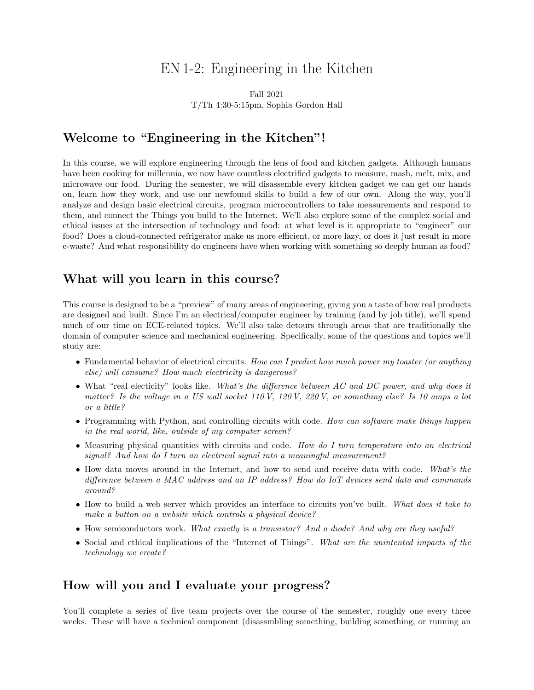# EN 1-2: Engineering in the Kitchen

Fall 2021 T/Th 4:30-5:15pm, Sophia Gordon Hall

### Welcome to "Engineering in the Kitchen"!

In this course, we will explore engineering through the lens of food and kitchen gadgets. Although humans have been cooking for millennia, we now have countless electrified gadgets to measure, mash, melt, mix, and microwave our food. During the semester, we will disassemble every kitchen gadget we can get our hands on, learn how they work, and use our newfound skills to build a few of our own. Along the way, you'll analyze and design basic electrical circuits, program microcontrollers to take measurements and respond to them, and connect the Things you build to the Internet. We'll also explore some of the complex social and ethical issues at the intersection of technology and food: at what level is it appropriate to "engineer" our food? Does a cloud-connected refrigerator make us more efficient, or more lazy, or does it just result in more e-waste? And what responsibility do engineers have when working with something so deeply human as food?

### What will you learn in this course?

This course is designed to be a "preview" of many areas of engineering, giving you a taste of how real products are designed and built. Since I'm an electrical/computer engineer by training (and by job title), we'll spend much of our time on ECE-related topics. We'll also take detours through areas that are traditionally the domain of computer science and mechanical engineering. Specifically, some of the questions and topics we'll study are:

- Fundamental behavior of electrical circuits. How can I predict how much power my toaster (or anything else) will consume? How much electricity is dangerous?
- What "real electicity" looks like. What's the difference between AC and DC power, and why does it matter? Is the voltage in a US wall socket  $110 V$ ,  $120 V$ ,  $220 V$ , or something else? Is 10 amps a lot or a little?
- Programming with Python, and controlling circuits with code. How can software make things happen in the real world, like, outside of my computer screen?
- Measuring physical quantities with circuits and code. How do I turn temperature into an electrical signal? And how do I turn an electrical signal into a meaningful measurement?
- How data moves around in the Internet, and how to send and receive data with code. What's the difference between a MAC address and an IP address? How do IoT devices send data and commands around?
- How to build a web server which provides an interface to circuits you've built. What does it take to make a button on a website which controls a physical device?
- How semiconductors work. What exactly is a transistor? And a diode? And why are they useful?
- Social and ethical implications of the "Internet of Things". What are the unintented impacts of the technology we create?

### How will you and I evaluate your progress?

You'll complete a series of five team projects over the course of the semester, roughly one every three weeks. These will have a technical component (disassmbling something, building something, or running an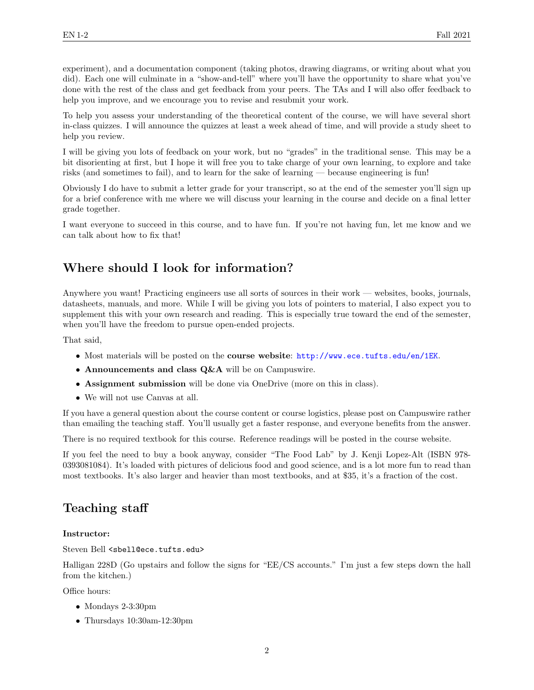experiment), and a documentation component (taking photos, drawing diagrams, or writing about what you did). Each one will culminate in a "show-and-tell" where you'll have the opportunity to share what you've done with the rest of the class and get feedback from your peers. The TAs and I will also offer feedback to help you improve, and we encourage you to revise and resubmit your work.

To help you assess your understanding of the theoretical content of the course, we will have several short in-class quizzes. I will announce the quizzes at least a week ahead of time, and will provide a study sheet to help you review.

I will be giving you lots of feedback on your work, but no "grades" in the traditional sense. This may be a bit disorienting at first, but I hope it will free you to take charge of your own learning, to explore and take risks (and sometimes to fail), and to learn for the sake of learning — because engineering is fun!

Obviously I do have to submit a letter grade for your transcript, so at the end of the semester you'll sign up for a brief conference with me where we will discuss your learning in the course and decide on a final letter grade together.

I want everyone to succeed in this course, and to have fun. If you're not having fun, let me know and we can talk about how to fix that!

### Where should I look for information?

Anywhere you want! Practicing engineers use all sorts of sources in their work — websites, books, journals, datasheets, manuals, and more. While I will be giving you lots of pointers to material, I also expect you to supplement this with your own research and reading. This is especially true toward the end of the semester, when you'll have the freedom to pursue open-ended projects.

That said,

- Most materials will be posted on the **course website**: <http://www.ece.tufts.edu/en/1EK>.
- Announcements and class Q&A will be on Campuswire.
- Assignment submission will be done via OneDrive (more on this in class).
- We will not use Canvas at all.

If you have a general question about the course content or course logistics, please post on Campuswire rather than emailing the teaching staff. You'll usually get a faster response, and everyone benefits from the answer.

There is no required textbook for this course. Reference readings will be posted in the course website.

If you feel the need to buy a book anyway, consider "The Food Lab" by J. Kenji Lopez-Alt (ISBN 978- 0393081084). It's loaded with pictures of delicious food and good science, and is a lot more fun to read than most textbooks. It's also larger and heavier than most textbooks, and at \$35, it's a fraction of the cost.

## Teaching staff

#### Instructor:

Steven Bell <sbell@ece.tufts.edu>

Halligan 228D (Go upstairs and follow the signs for "EE/CS accounts." I'm just a few steps down the hall from the kitchen.)

Office hours:

- Mondays 2-3:30pm
- Thursdays 10:30am-12:30pm